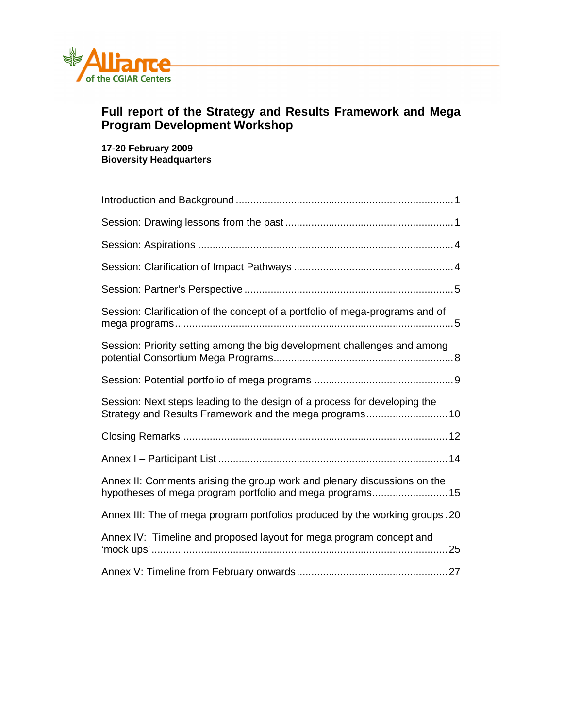

# **Full report of the Strategy and Results Framework and Mega Program Development Workshop**

**17-20 February 2009 Bioversity Headquarters** 

| Session: Clarification of the concept of a portfolio of mega-programs and of                                                          |
|---------------------------------------------------------------------------------------------------------------------------------------|
| Session: Priority setting among the big development challenges and among                                                              |
|                                                                                                                                       |
| Session: Next steps leading to the design of a process for developing the<br>Strategy and Results Framework and the mega programs 10  |
|                                                                                                                                       |
|                                                                                                                                       |
| Annex II: Comments arising the group work and plenary discussions on the<br>hypotheses of mega program portfolio and mega programs 15 |
| Annex III: The of mega program portfolios produced by the working groups. 20                                                          |
| Annex IV: Timeline and proposed layout for mega program concept and                                                                   |
|                                                                                                                                       |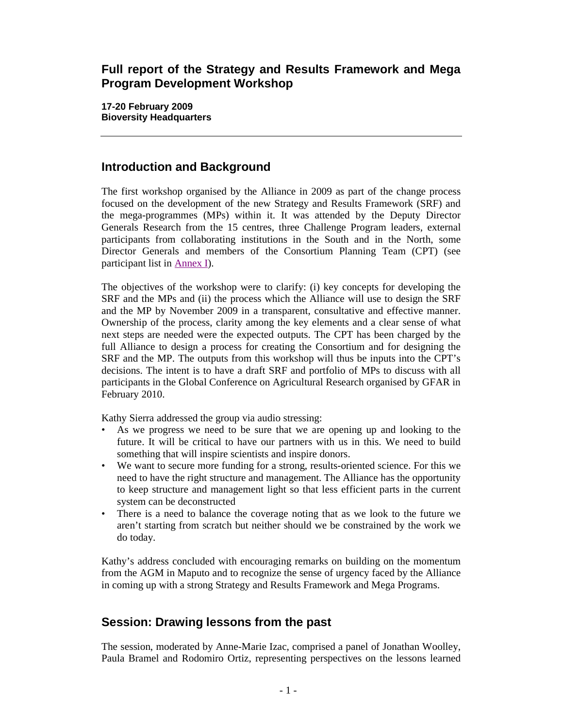# **Full report of the Strategy and Results Framework and Mega Program Development Workshop**

**17-20 February 2009 Bioversity Headquarters** 

# **Introduction and Background**

The first workshop organised by the Alliance in 2009 as part of the change process focused on the development of the new Strategy and Results Framework (SRF) and the mega-programmes (MPs) within it. It was attended by the Deputy Director Generals Research from the 15 centres, three Challenge Program leaders, external participants from collaborating institutions in the South and in the North, some Director Generals and members of the Consortium Planning Team (CPT) (see participant list in Annex I).

The objectives of the workshop were to clarify: (i) key concepts for developing the SRF and the MPs and (ii) the process which the Alliance will use to design the SRF and the MP by November 2009 in a transparent, consultative and effective manner. Ownership of the process, clarity among the key elements and a clear sense of what next steps are needed were the expected outputs. The CPT has been charged by the full Alliance to design a process for creating the Consortium and for designing the SRF and the MP. The outputs from this workshop will thus be inputs into the CPT's decisions. The intent is to have a draft SRF and portfolio of MPs to discuss with all participants in the Global Conference on Agricultural Research organised by GFAR in February 2010.

Kathy Sierra addressed the group via audio stressing:

- As we progress we need to be sure that we are opening up and looking to the future. It will be critical to have our partners with us in this. We need to build something that will inspire scientists and inspire donors.
- We want to secure more funding for a strong, results-oriented science. For this we need to have the right structure and management. The Alliance has the opportunity to keep structure and management light so that less efficient parts in the current system can be deconstructed
- There is a need to balance the coverage noting that as we look to the future we aren't starting from scratch but neither should we be constrained by the work we do today.

Kathy's address concluded with encouraging remarks on building on the momentum from the AGM in Maputo and to recognize the sense of urgency faced by the Alliance in coming up with a strong Strategy and Results Framework and Mega Programs.

# **Session: Drawing lessons from the past**

The session, moderated by Anne-Marie Izac, comprised a panel of Jonathan Woolley, Paula Bramel and Rodomiro Ortiz, representing perspectives on the lessons learned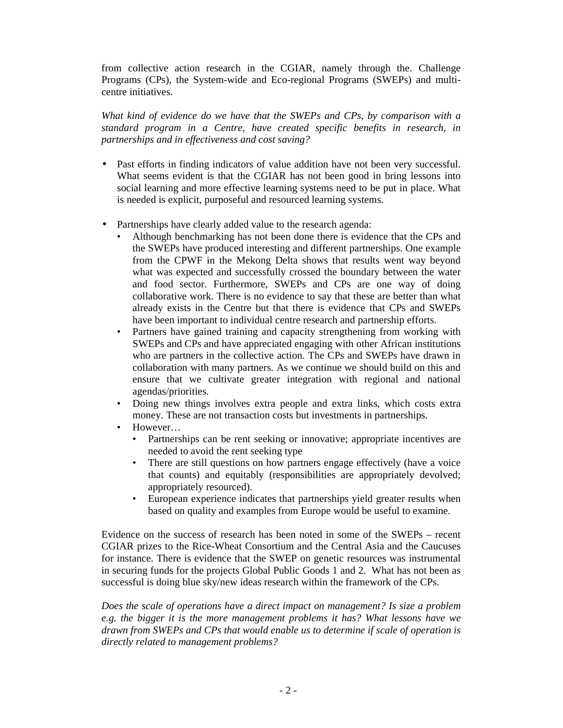from collective action research in the CGIAR, namely through the. Challenge Programs (CPs), the System-wide and Eco-regional Programs (SWEPs) and multicentre initiatives.

*What kind of evidence do we have that the SWEPs and CPs, by comparison with a standard program in a Centre, have created specific benefits in research, in partnerships and in effectiveness and cost saving?* 

- Past efforts in finding indicators of value addition have not been very successful. What seems evident is that the CGIAR has not been good in bring lessons into social learning and more effective learning systems need to be put in place. What is needed is explicit, purposeful and resourced learning systems.
- Partnerships have clearly added value to the research agenda:
	- Although benchmarking has not been done there is evidence that the CPs and the SWEPs have produced interesting and different partnerships. One example from the CPWF in the Mekong Delta shows that results went way beyond what was expected and successfully crossed the boundary between the water and food sector. Furthermore, SWEPs and CPs are one way of doing collaborative work. There is no evidence to say that these are better than what already exists in the Centre but that there is evidence that CPs and SWEPs have been important to individual centre research and partnership efforts.
	- Partners have gained training and capacity strengthening from working with SWEPs and CPs and have appreciated engaging with other African institutions who are partners in the collective action. The CPs and SWEPs have drawn in collaboration with many partners. As we continue we should build on this and ensure that we cultivate greater integration with regional and national agendas/priorities.
	- Doing new things involves extra people and extra links, which costs extra money. These are not transaction costs but investments in partnerships.
	- However…
		- Partnerships can be rent seeking or innovative; appropriate incentives are needed to avoid the rent seeking type
		- There are still questions on how partners engage effectively (have a voice that counts) and equitably (responsibilities are appropriately devolved; appropriately resourced).
		- European experience indicates that partnerships yield greater results when based on quality and examples from Europe would be useful to examine.

Evidence on the success of research has been noted in some of the SWEPs – recent CGIAR prizes to the Rice-Wheat Consortium and the Central Asia and the Caucuses for instance. There is evidence that the SWEP on genetic resources was instrumental in securing funds for the projects Global Public Goods 1 and 2. What has not been as successful is doing blue sky/new ideas research within the framework of the CPs.

*Does the scale of operations have a direct impact on management? Is size a problem e.g. the bigger it is the more management problems it has? What lessons have we drawn from SWEPs and CPs that would enable us to determine if scale of operation is directly related to management problems?*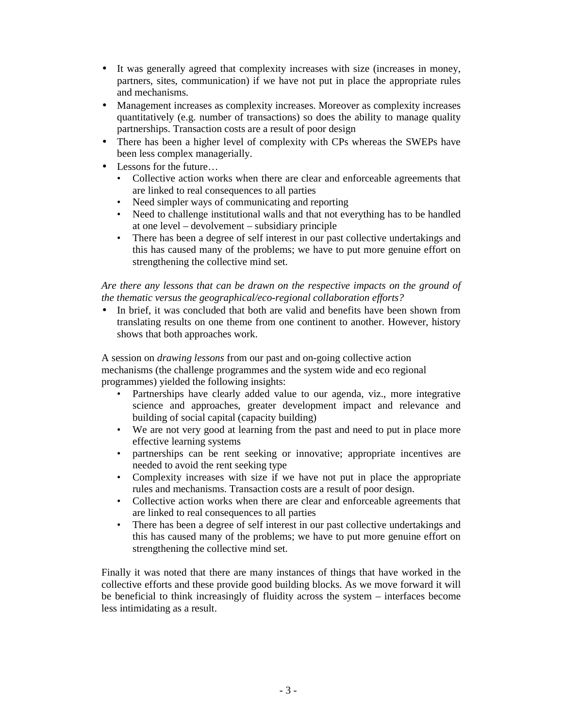- It was generally agreed that complexity increases with size (increases in money, partners, sites, communication) if we have not put in place the appropriate rules and mechanisms.
- Management increases as complexity increases. Moreover as complexity increases quantitatively (e.g. number of transactions) so does the ability to manage quality partnerships. Transaction costs are a result of poor design
- There has been a higher level of complexity with CPs whereas the SWEPs have been less complex managerially.
- Lessons for the future...
	- Collective action works when there are clear and enforceable agreements that are linked to real consequences to all parties
	- Need simpler ways of communicating and reporting
	- Need to challenge institutional walls and that not everything has to be handled at one level – devolvement – subsidiary principle
	- There has been a degree of self interest in our past collective undertakings and this has caused many of the problems; we have to put more genuine effort on strengthening the collective mind set.

*Are there any lessons that can be drawn on the respective impacts on the ground of the thematic versus the geographical/eco-regional collaboration efforts?* 

In brief, it was concluded that both are valid and benefits have been shown from translating results on one theme from one continent to another. However, history shows that both approaches work.

A session on *drawing lessons* from our past and on-going collective action mechanisms (the challenge programmes and the system wide and eco regional programmes) yielded the following insights:

- Partnerships have clearly added value to our agenda, viz., more integrative science and approaches, greater development impact and relevance and building of social capital (capacity building)
- We are not very good at learning from the past and need to put in place more effective learning systems
- partnerships can be rent seeking or innovative; appropriate incentives are needed to avoid the rent seeking type
- Complexity increases with size if we have not put in place the appropriate rules and mechanisms. Transaction costs are a result of poor design.
- Collective action works when there are clear and enforceable agreements that are linked to real consequences to all parties
- There has been a degree of self interest in our past collective undertakings and this has caused many of the problems; we have to put more genuine effort on strengthening the collective mind set.

Finally it was noted that there are many instances of things that have worked in the collective efforts and these provide good building blocks. As we move forward it will be beneficial to think increasingly of fluidity across the system – interfaces become less intimidating as a result.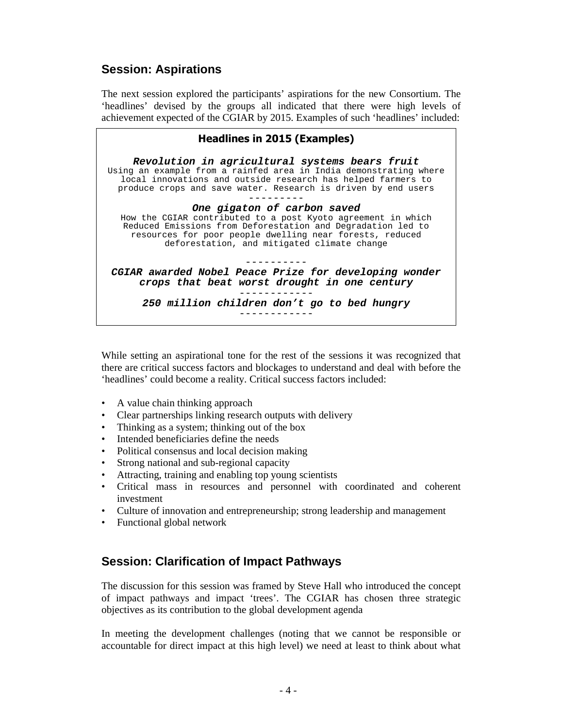# **Session: Aspirations**

The next session explored the participants' aspirations for the new Consortium. The 'headlines' devised by the groups all indicated that there were high levels of achievement expected of the CGIAR by 2015. Examples of such 'headlines' included:

| <b>Headlines in 2015 (Examples)</b>                                                                                                                                                                                                                  |
|------------------------------------------------------------------------------------------------------------------------------------------------------------------------------------------------------------------------------------------------------|
| Revolution in agricultural systems bears fruit<br>Using an example from a rainfed area in India demonstrating where<br>local innovations and outside research has helped farmers to<br>produce crops and save water. Research is driven by end users |
| One gigaton of carbon saved                                                                                                                                                                                                                          |
| How the CGIAR contributed to a post Kyoto agreement in which<br>Reduced Emissions from Deforestation and Degradation led to<br>resources for poor people dwelling near forests, reduced<br>deforestation, and mitigated climate change               |
|                                                                                                                                                                                                                                                      |
| CGIAR awarded Nobel Peace Prize for developing wonder<br>crops that beat worst drought in one century                                                                                                                                                |
| 250 million children don't go to bed hungry                                                                                                                                                                                                          |
|                                                                                                                                                                                                                                                      |

While setting an aspirational tone for the rest of the sessions it was recognized that there are critical success factors and blockages to understand and deal with before the 'headlines' could become a reality. Critical success factors included:

- A value chain thinking approach
- Clear partnerships linking research outputs with delivery
- Thinking as a system; thinking out of the box
- Intended beneficiaries define the needs
- Political consensus and local decision making
- Strong national and sub-regional capacity
- Attracting, training and enabling top young scientists
- Critical mass in resources and personnel with coordinated and coherent investment
- Culture of innovation and entrepreneurship; strong leadership and management
- Functional global network

## **Session: Clarification of Impact Pathways**

The discussion for this session was framed by Steve Hall who introduced the concept of impact pathways and impact 'trees'. The CGIAR has chosen three strategic objectives as its contribution to the global development agenda

In meeting the development challenges (noting that we cannot be responsible or accountable for direct impact at this high level) we need at least to think about what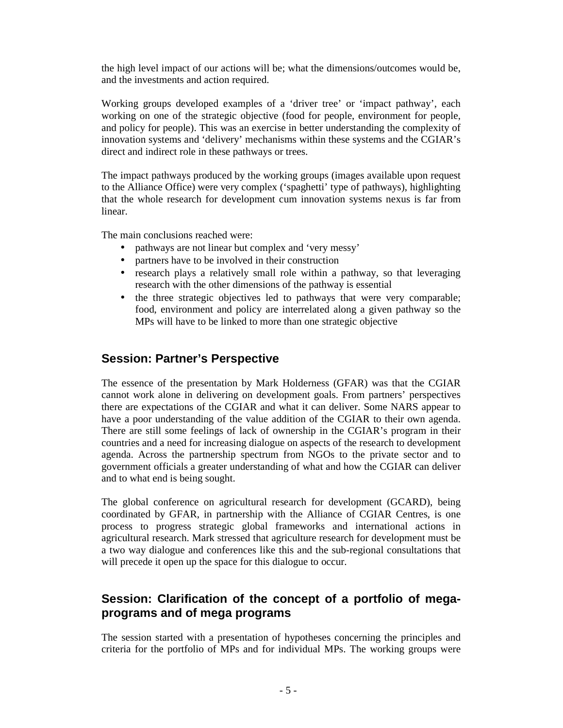the high level impact of our actions will be; what the dimensions/outcomes would be, and the investments and action required.

Working groups developed examples of a 'driver tree' or 'impact pathway', each working on one of the strategic objective (food for people, environment for people, and policy for people). This was an exercise in better understanding the complexity of innovation systems and 'delivery' mechanisms within these systems and the CGIAR's direct and indirect role in these pathways or trees.

The impact pathways produced by the working groups (images available upon request to the Alliance Office) were very complex ('spaghetti' type of pathways), highlighting that the whole research for development cum innovation systems nexus is far from linear.

The main conclusions reached were:

- pathways are not linear but complex and 'very messy'
- partners have to be involved in their construction
- research plays a relatively small role within a pathway, so that leveraging research with the other dimensions of the pathway is essential
- the three strategic objectives led to pathways that were very comparable; food, environment and policy are interrelated along a given pathway so the MPs will have to be linked to more than one strategic objective

# **Session: Partner's Perspective**

The essence of the presentation by Mark Holderness (GFAR) was that the CGIAR cannot work alone in delivering on development goals. From partners' perspectives there are expectations of the CGIAR and what it can deliver. Some NARS appear to have a poor understanding of the value addition of the CGIAR to their own agenda. There are still some feelings of lack of ownership in the CGIAR's program in their countries and a need for increasing dialogue on aspects of the research to development agenda. Across the partnership spectrum from NGOs to the private sector and to government officials a greater understanding of what and how the CGIAR can deliver and to what end is being sought.

The global conference on agricultural research for development (GCARD), being coordinated by GFAR, in partnership with the Alliance of CGIAR Centres, is one process to progress strategic global frameworks and international actions in agricultural research. Mark stressed that agriculture research for development must be a two way dialogue and conferences like this and the sub-regional consultations that will precede it open up the space for this dialogue to occur.

# **Session: Clarification of the concept of a portfolio of megaprograms and of mega programs**

The session started with a presentation of hypotheses concerning the principles and criteria for the portfolio of MPs and for individual MPs. The working groups were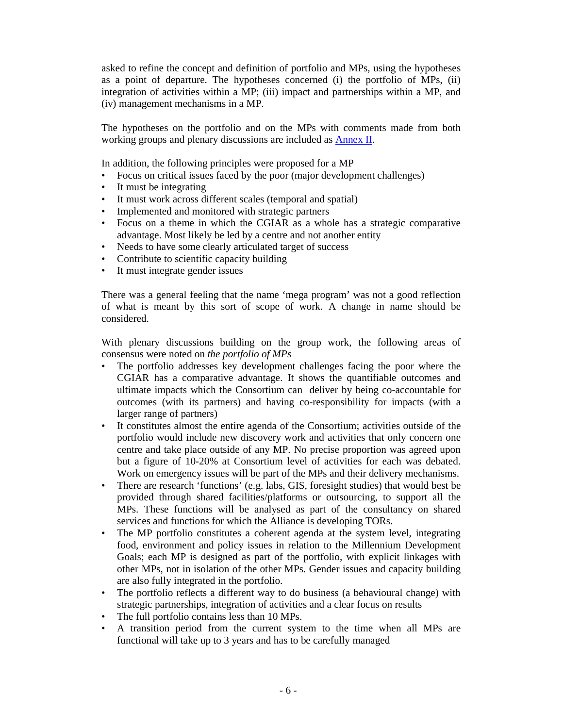asked to refine the concept and definition of portfolio and MPs, using the hypotheses as a point of departure. The hypotheses concerned (i) the portfolio of MPs, (ii) integration of activities within a MP; (iii) impact and partnerships within a MP, and (iv) management mechanisms in a MP.

The hypotheses on the portfolio and on the MPs with comments made from both working groups and plenary discussions are included as Annex II.

In addition, the following principles were proposed for a MP

- Focus on critical issues faced by the poor (major development challenges)
- It must be integrating
- It must work across different scales (temporal and spatial)
- Implemented and monitored with strategic partners
- Focus on a theme in which the CGIAR as a whole has a strategic comparative advantage. Most likely be led by a centre and not another entity
- Needs to have some clearly articulated target of success
- Contribute to scientific capacity building
- It must integrate gender issues

There was a general feeling that the name 'mega program' was not a good reflection of what is meant by this sort of scope of work. A change in name should be considered.

With plenary discussions building on the group work, the following areas of consensus were noted on *the portfolio of MPs*

- The portfolio addresses key development challenges facing the poor where the CGIAR has a comparative advantage. It shows the quantifiable outcomes and ultimate impacts which the Consortium can deliver by being co-accountable for outcomes (with its partners) and having co-responsibility for impacts (with a larger range of partners)
- It constitutes almost the entire agenda of the Consortium; activities outside of the portfolio would include new discovery work and activities that only concern one centre and take place outside of any MP. No precise proportion was agreed upon but a figure of 10-20% at Consortium level of activities for each was debated. Work on emergency issues will be part of the MPs and their delivery mechanisms.
- There are research 'functions' (e.g. labs, GIS, foresight studies) that would best be provided through shared facilities/platforms or outsourcing, to support all the MPs. These functions will be analysed as part of the consultancy on shared services and functions for which the Alliance is developing TORs.
- The MP portfolio constitutes a coherent agenda at the system level, integrating food, environment and policy issues in relation to the Millennium Development Goals; each MP is designed as part of the portfolio, with explicit linkages with other MPs, not in isolation of the other MPs. Gender issues and capacity building are also fully integrated in the portfolio.
- The portfolio reflects a different way to do business (a behavioural change) with strategic partnerships, integration of activities and a clear focus on results
- The full portfolio contains less than 10 MPs.
- A transition period from the current system to the time when all MPs are functional will take up to 3 years and has to be carefully managed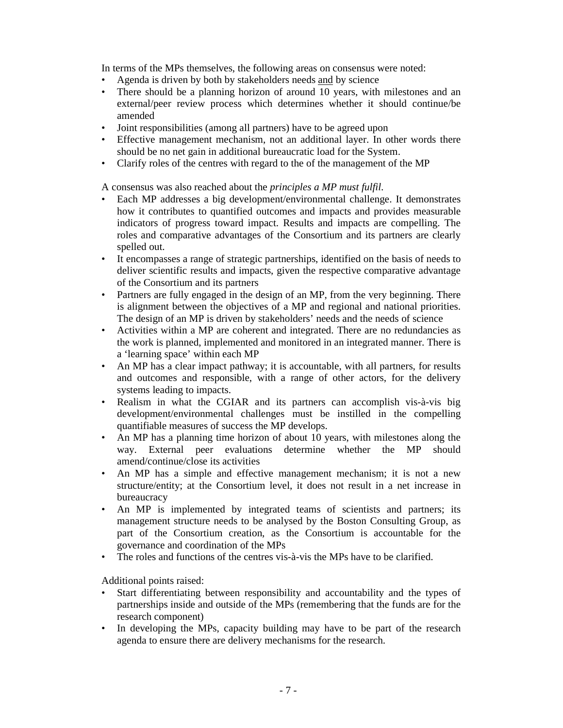In terms of the MPs themselves, the following areas on consensus were noted:

- Agenda is driven by both by stakeholders needs and by science<br>• There should be a planning horizon of around 10 years, with
- There should be a planning horizon of around 10 years, with milestones and an external/peer review process which determines whether it should continue/be amended
- Joint responsibilities (among all partners) have to be agreed upon
- Effective management mechanism, not an additional layer. In other words there should be no net gain in additional bureaucratic load for the System.
- Clarify roles of the centres with regard to the of the management of the MP

A consensus was also reached about the *principles a MP must fulfil*.

- Each MP addresses a big development/environmental challenge. It demonstrates how it contributes to quantified outcomes and impacts and provides measurable indicators of progress toward impact. Results and impacts are compelling. The roles and comparative advantages of the Consortium and its partners are clearly spelled out.
- It encompasses a range of strategic partnerships, identified on the basis of needs to deliver scientific results and impacts, given the respective comparative advantage of the Consortium and its partners
- Partners are fully engaged in the design of an MP, from the very beginning. There is alignment between the objectives of a MP and regional and national priorities. The design of an MP is driven by stakeholders' needs and the needs of science
- Activities within a MP are coherent and integrated. There are no redundancies as the work is planned, implemented and monitored in an integrated manner. There is a 'learning space' within each MP
- An MP has a clear impact pathway; it is accountable, with all partners, for results and outcomes and responsible, with a range of other actors, for the delivery systems leading to impacts.
- Realism in what the CGIAR and its partners can accomplish vis-à-vis big development/environmental challenges must be instilled in the compelling quantifiable measures of success the MP develops.
- An MP has a planning time horizon of about 10 years, with milestones along the way. External peer evaluations determine whether the MP should amend/continue/close its activities
- An MP has a simple and effective management mechanism; it is not a new structure/entity; at the Consortium level, it does not result in a net increase in bureaucracy
- An MP is implemented by integrated teams of scientists and partners; its management structure needs to be analysed by the Boston Consulting Group, as part of the Consortium creation, as the Consortium is accountable for the governance and coordination of the MPs
- The roles and functions of the centres vis-à-vis the MPs have to be clarified.

Additional points raised:

- Start differentiating between responsibility and accountability and the types of partnerships inside and outside of the MPs (remembering that the funds are for the research component)
- In developing the MPs, capacity building may have to be part of the research agenda to ensure there are delivery mechanisms for the research.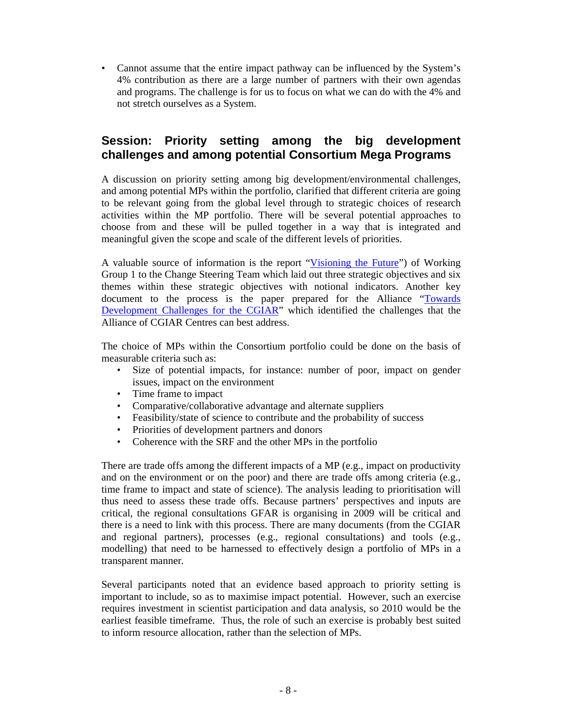• Cannot assume that the entire impact pathway can be influenced by the System's 4% contribution as there are a large number of partners with their own agendas and programs. The challenge is for us to focus on what we can do with the 4% and not stretch ourselves as a System.

# **Session: Priority setting among the big development challenges and among potential Consortium Mega Programs**

A discussion on priority setting among big development/environmental challenges, and among potential MPs within the portfolio, clarified that different criteria are going to be relevant going from the global level through to strategic choices of research activities within the MP portfolio. There will be several potential approaches to choose from and these will be pulled together in a way that is integrated and meaningful given the scope and scale of the different levels of priorities.

A valuable source of information is the report "Visioning the Future") of Working Group 1 to the Change Steering Team which laid out three strategic objectives and six themes within these strategic objectives with notional indicators. Another key document to the process is the paper prepared for the Alliance "Towards" Development Challenges for the CGIAR" which identified the challenges that the Alliance of CGIAR Centres can best address.

The choice of MPs within the Consortium portfolio could be done on the basis of measurable criteria such as:

- Size of potential impacts, for instance: number of poor, impact on gender issues, impact on the environment
- Time frame to impact
- Comparative/collaborative advantage and alternate suppliers
- Feasibility/state of science to contribute and the probability of success
- Priorities of development partners and donors
- Coherence with the SRF and the other MPs in the portfolio

There are trade offs among the different impacts of a MP (e.g., impact on productivity and on the environment or on the poor) and there are trade offs among criteria (e.g., time frame to impact and state of science). The analysis leading to prioritisation will thus need to assess these trade offs. Because partners' perspectives and inputs are critical, the regional consultations GFAR is organising in 2009 will be critical and there is a need to link with this process. There are many documents (from the CGIAR and regional partners), processes (e.g., regional consultations) and tools (e.g., modelling) that need to be harnessed to effectively design a portfolio of MPs in a transparent manner.

Several participants noted that an evidence based approach to priority setting is important to include, so as to maximise impact potential. However, such an exercise requires investment in scientist participation and data analysis, so 2010 would be the earliest feasible timeframe. Thus, the role of such an exercise is probably best suited to inform resource allocation, rather than the selection of MPs.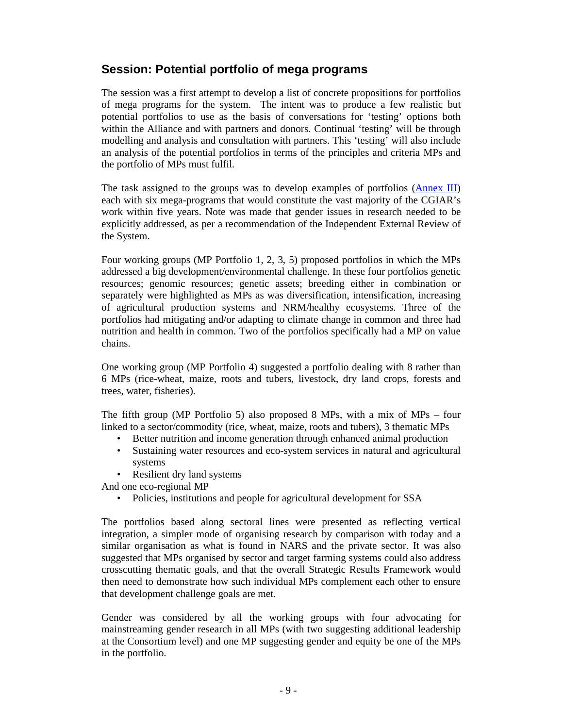# **Session: Potential portfolio of mega programs**

The session was a first attempt to develop a list of concrete propositions for portfolios of mega programs for the system. The intent was to produce a few realistic but potential portfolios to use as the basis of conversations for 'testing' options both within the Alliance and with partners and donors. Continual 'testing' will be through modelling and analysis and consultation with partners. This 'testing' will also include an analysis of the potential portfolios in terms of the principles and criteria MPs and the portfolio of MPs must fulfil.

The task assigned to the groups was to develop examples of portfolios (Annex III) each with six mega-programs that would constitute the vast majority of the CGIAR's work within five years. Note was made that gender issues in research needed to be explicitly addressed, as per a recommendation of the Independent External Review of the System.

Four working groups (MP Portfolio 1, 2, 3, 5) proposed portfolios in which the MPs addressed a big development/environmental challenge. In these four portfolios genetic resources; genomic resources; genetic assets; breeding either in combination or separately were highlighted as MPs as was diversification, intensification, increasing of agricultural production systems and NRM/healthy ecosystems. Three of the portfolios had mitigating and/or adapting to climate change in common and three had nutrition and health in common. Two of the portfolios specifically had a MP on value chains.

One working group (MP Portfolio 4) suggested a portfolio dealing with 8 rather than 6 MPs (rice-wheat, maize, roots and tubers, livestock, dry land crops, forests and trees, water, fisheries).

The fifth group (MP Portfolio 5) also proposed 8 MPs, with a mix of MPs – four linked to a sector/commodity (rice, wheat, maize, roots and tubers), 3 thematic MPs

- Better nutrition and income generation through enhanced animal production
- Sustaining water resources and eco-system services in natural and agricultural systems
- Resilient dry land systems

And one eco-regional MP

• Policies, institutions and people for agricultural development for SSA

The portfolios based along sectoral lines were presented as reflecting vertical integration, a simpler mode of organising research by comparison with today and a similar organisation as what is found in NARS and the private sector. It was also suggested that MPs organised by sector and target farming systems could also address crosscutting thematic goals, and that the overall Strategic Results Framework would then need to demonstrate how such individual MPs complement each other to ensure that development challenge goals are met.

Gender was considered by all the working groups with four advocating for mainstreaming gender research in all MPs (with two suggesting additional leadership at the Consortium level) and one MP suggesting gender and equity be one of the MPs in the portfolio.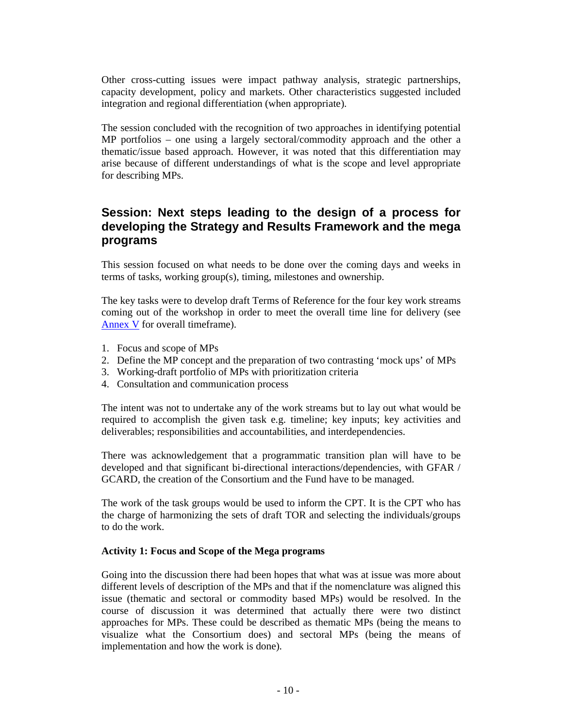Other cross-cutting issues were impact pathway analysis, strategic partnerships, capacity development, policy and markets. Other characteristics suggested included integration and regional differentiation (when appropriate).

The session concluded with the recognition of two approaches in identifying potential MP portfolios – one using a largely sectoral/commodity approach and the other a thematic/issue based approach. However, it was noted that this differentiation may arise because of different understandings of what is the scope and level appropriate for describing MPs.

# **Session: Next steps leading to the design of a process for developing the Strategy and Results Framework and the mega programs**

This session focused on what needs to be done over the coming days and weeks in terms of tasks, working group(s), timing, milestones and ownership.

The key tasks were to develop draft Terms of Reference for the four key work streams coming out of the workshop in order to meet the overall time line for delivery (see Annex V for overall timeframe).

- 1. Focus and scope of MPs
- 2. Define the MP concept and the preparation of two contrasting 'mock ups' of MPs
- 3. Working-draft portfolio of MPs with prioritization criteria
- 4. Consultation and communication process

The intent was not to undertake any of the work streams but to lay out what would be required to accomplish the given task e.g. timeline; key inputs; key activities and deliverables; responsibilities and accountabilities, and interdependencies.

There was acknowledgement that a programmatic transition plan will have to be developed and that significant bi-directional interactions/dependencies, with GFAR / GCARD, the creation of the Consortium and the Fund have to be managed.

The work of the task groups would be used to inform the CPT. It is the CPT who has the charge of harmonizing the sets of draft TOR and selecting the individuals/groups to do the work.

#### **Activity 1: Focus and Scope of the Mega programs**

Going into the discussion there had been hopes that what was at issue was more about different levels of description of the MPs and that if the nomenclature was aligned this issue (thematic and sectoral or commodity based MPs) would be resolved. In the course of discussion it was determined that actually there were two distinct approaches for MPs. These could be described as thematic MPs (being the means to visualize what the Consortium does) and sectoral MPs (being the means of implementation and how the work is done).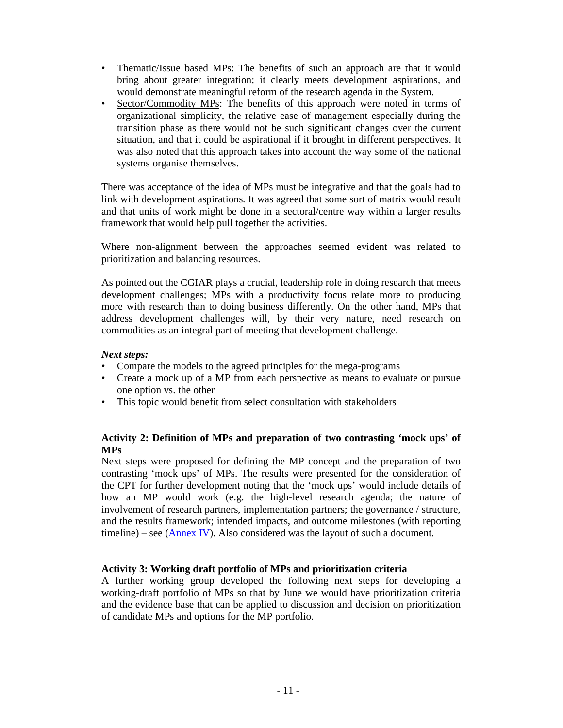- Thematic/Issue based MPs: The benefits of such an approach are that it would bring about greater integration; it clearly meets development aspirations, and would demonstrate meaningful reform of the research agenda in the System.
- Sector/Commodity MPs: The benefits of this approach were noted in terms of organizational simplicity, the relative ease of management especially during the transition phase as there would not be such significant changes over the current situation, and that it could be aspirational if it brought in different perspectives. It was also noted that this approach takes into account the way some of the national systems organise themselves.

There was acceptance of the idea of MPs must be integrative and that the goals had to link with development aspirations. It was agreed that some sort of matrix would result and that units of work might be done in a sectoral/centre way within a larger results framework that would help pull together the activities.

Where non-alignment between the approaches seemed evident was related to prioritization and balancing resources.

As pointed out the CGIAR plays a crucial, leadership role in doing research that meets development challenges; MPs with a productivity focus relate more to producing more with research than to doing business differently. On the other hand, MPs that address development challenges will, by their very nature, need research on commodities as an integral part of meeting that development challenge.

### *Next steps:*

- Compare the models to the agreed principles for the mega-programs
- Create a mock up of a MP from each perspective as means to evaluate or pursue one option vs. the other
- This topic would benefit from select consultation with stakeholders

## **Activity 2: Definition of MPs and preparation of two contrasting 'mock ups' of MPs**

Next steps were proposed for defining the MP concept and the preparation of two contrasting 'mock ups' of MPs. The results were presented for the consideration of the CPT for further development noting that the 'mock ups' would include details of how an MP would work (e.g. the high-level research agenda; the nature of involvement of research partners, implementation partners; the governance / structure, and the results framework; intended impacts, and outcome milestones (with reporting timeline) – see  $(An)$ . Also considered was the layout of such a document.

## **Activity 3: Working draft portfolio of MPs and prioritization criteria**

A further working group developed the following next steps for developing a working-draft portfolio of MPs so that by June we would have prioritization criteria and the evidence base that can be applied to discussion and decision on prioritization of candidate MPs and options for the MP portfolio.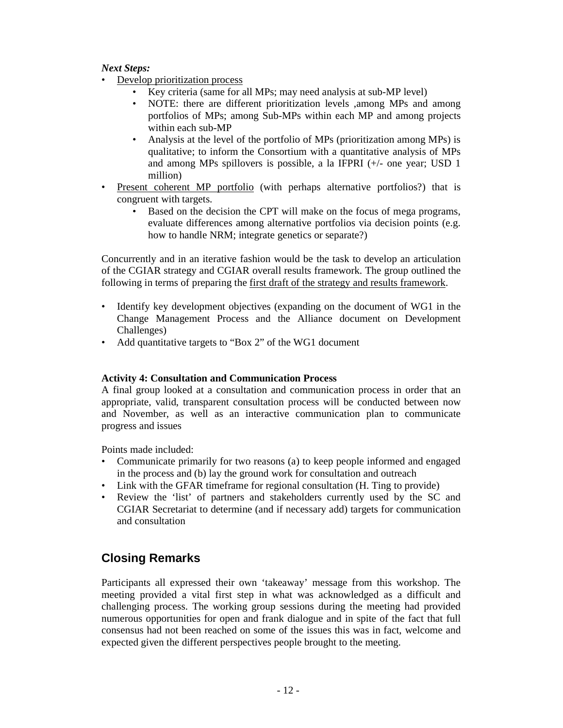### *Next Steps:*

- Develop prioritization process
	- Key criteria (same for all MPs; may need analysis at sub-MP level)
	- NOTE: there are different prioritization levels ,among MPs and among portfolios of MPs; among Sub-MPs within each MP and among projects within each sub-MP
	- Analysis at the level of the portfolio of MPs (prioritization among MPs) is qualitative; to inform the Consortium with a quantitative analysis of MPs and among MPs spillovers is possible, a la IFPRI (+/- one year; USD 1 million)
- Present coherent MP portfolio (with perhaps alternative portfolios?) that is congruent with targets.
	- Based on the decision the CPT will make on the focus of mega programs, evaluate differences among alternative portfolios via decision points (e.g. how to handle NRM; integrate genetics or separate?)

Concurrently and in an iterative fashion would be the task to develop an articulation of the CGIAR strategy and CGIAR overall results framework. The group outlined the following in terms of preparing the first draft of the strategy and results framework.

- Identify key development objectives (expanding on the document of WG1 in the Change Management Process and the Alliance document on Development Challenges)
- Add quantitative targets to "Box 2" of the WG1 document

#### **Activity 4: Consultation and Communication Process**

A final group looked at a consultation and communication process in order that an appropriate, valid, transparent consultation process will be conducted between now and November, as well as an interactive communication plan to communicate progress and issues

Points made included:

- Communicate primarily for two reasons (a) to keep people informed and engaged in the process and (b) lay the ground work for consultation and outreach
- Link with the GFAR timeframe for regional consultation (H. Ting to provide)
- Review the 'list' of partners and stakeholders currently used by the SC and CGIAR Secretariat to determine (and if necessary add) targets for communication and consultation

# **Closing Remarks**

Participants all expressed their own 'takeaway' message from this workshop. The meeting provided a vital first step in what was acknowledged as a difficult and challenging process. The working group sessions during the meeting had provided numerous opportunities for open and frank dialogue and in spite of the fact that full consensus had not been reached on some of the issues this was in fact, welcome and expected given the different perspectives people brought to the meeting.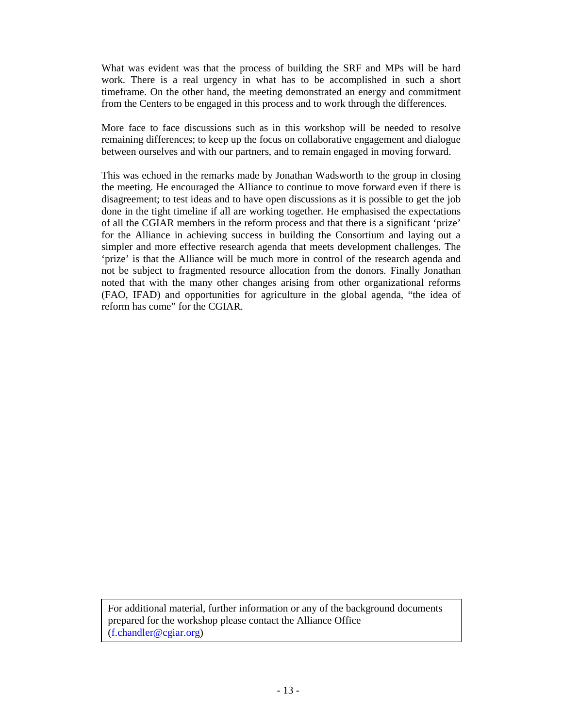What was evident was that the process of building the SRF and MPs will be hard work. There is a real urgency in what has to be accomplished in such a short timeframe. On the other hand, the meeting demonstrated an energy and commitment from the Centers to be engaged in this process and to work through the differences.

More face to face discussions such as in this workshop will be needed to resolve remaining differences; to keep up the focus on collaborative engagement and dialogue between ourselves and with our partners, and to remain engaged in moving forward.

This was echoed in the remarks made by Jonathan Wadsworth to the group in closing the meeting. He encouraged the Alliance to continue to move forward even if there is disagreement; to test ideas and to have open discussions as it is possible to get the job done in the tight timeline if all are working together. He emphasised the expectations of all the CGIAR members in the reform process and that there is a significant 'prize' for the Alliance in achieving success in building the Consortium and laying out a simpler and more effective research agenda that meets development challenges. The 'prize' is that the Alliance will be much more in control of the research agenda and not be subject to fragmented resource allocation from the donors. Finally Jonathan noted that with the many other changes arising from other organizational reforms (FAO, IFAD) and opportunities for agriculture in the global agenda, "the idea of reform has come" for the CGIAR.

For additional material, further information or any of the background documents prepared for the workshop please contact the Alliance Office (f.chandler@cgiar.org)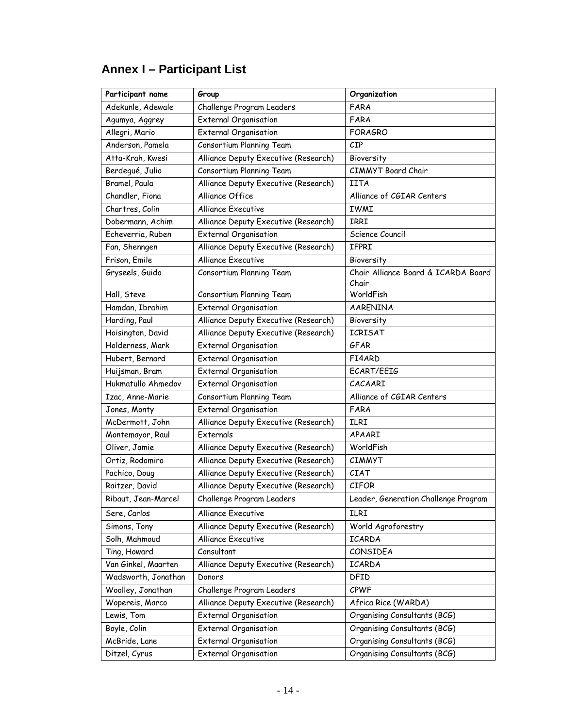| Participant name    | Group                                | Organization                         |  |  |
|---------------------|--------------------------------------|--------------------------------------|--|--|
| Adekunle, Adewale   | Challenge Program Leaders            | FARA                                 |  |  |
| Agumya, Aggrey      | <b>External Organisation</b>         | FARA                                 |  |  |
| Allegri, Mario      | <b>External Organisation</b>         | <b>FORAGRO</b>                       |  |  |
| Anderson, Pamela    | Consortium Planning Team             | CIP                                  |  |  |
| Atta-Krah, Kwesi    | Alliance Deputy Executive (Research) | Bioversity                           |  |  |
| Berdegué, Julio     | Consortium Planning Team             | <b>CIMMYT</b> Board Chair            |  |  |
| Bramel, Paula       | Alliance Deputy Executive (Research) | <b>IITA</b>                          |  |  |
| Chandler, Fiona     | Alliance Office                      | Alliance of CGIAR Centers            |  |  |
| Chartres, Colin     | <b>Alliance Executive</b>            | IWMI                                 |  |  |
| Dobermann, Achim    | Alliance Deputy Executive (Research) | IRRI                                 |  |  |
| Echeverria, Ruben   | <b>External Organisation</b>         | Science Council                      |  |  |
| Fan, Shenngen       | Alliance Deputy Executive (Research) | <b>IFPRI</b>                         |  |  |
| Frison, Emile       | <b>Alliance Executive</b>            | Bioversity                           |  |  |
| Gryseels, Guido     | Consortium Planning Team             | Chair Alliance Board & ICARDA Board  |  |  |
|                     |                                      | Chair                                |  |  |
| Hall, Steve         | Consortium Planning Team             | WorldFish                            |  |  |
| Hamdan, Ibrahim     | <b>External Organisation</b>         | <b>AARENINA</b>                      |  |  |
| Harding, Paul       | Alliance Deputy Executive (Research) | Bioversity                           |  |  |
| Hoisington, David   | Alliance Deputy Executive (Research) | <b>ICRISAT</b>                       |  |  |
| Holderness, Mark    | <b>External Organisation</b>         | GFAR                                 |  |  |
| Hubert, Bernard     | External Organisation                | FI4ARD                               |  |  |
| Huijsman, Bram      | <b>External Organisation</b>         | ECART/EEIG                           |  |  |
| Hukmatullo Ahmedov  | <b>External Organisation</b>         | CACAARI                              |  |  |
| Izac, Anne-Marie    | Consortium Planning Team             | Alliance of CGIAR Centers            |  |  |
| Jones, Monty        | <b>External Organisation</b>         | FARA                                 |  |  |
| McDermott, John     | Alliance Deputy Executive (Research) | <b>ILRI</b>                          |  |  |
| Montemayor, Raul    | Externals                            | APAARI                               |  |  |
| Oliver, Jamie       | Alliance Deputy Executive (Research) | WorldFish                            |  |  |
| Ortiz, Rodomiro     | Alliance Deputy Executive (Research) | <b>CIMMYT</b>                        |  |  |
| Pachico, Doug       | Alliance Deputy Executive (Research) | <b>CIAT</b>                          |  |  |
| Raitzer, David      | Alliance Deputy Executive (Research) | <b>CIFOR</b>                         |  |  |
| Ribaut, Jean-Marcel | Challenge Program Leaders            | Leader, Generation Challenge Program |  |  |
| Sere, Carlos        | Alliance Executive                   | ILRI                                 |  |  |
| Simons, Tony        | Alliance Deputy Executive (Research) | World Agroforestry                   |  |  |
| Solh, Mahmoud       | <b>Alliance Executive</b>            | ICARDA                               |  |  |
| Ting, Howard        | Consultant                           | CONSIDEA                             |  |  |
| Van Ginkel, Maarten | Alliance Deputy Executive (Research) | ICARDA                               |  |  |
| Wadsworth, Jonathan | Donors                               | DFID                                 |  |  |
| Woolley, Jonathan   | Challenge Program Leaders            | CPWF                                 |  |  |
| Wopereis, Marco     | Alliance Deputy Executive (Research) | Africa Rice (WARDA)                  |  |  |
| Lewis, Tom          | <b>External Organisation</b>         | Organising Consultants (BCG)         |  |  |
| Boyle, Colin        | <b>External Organisation</b>         | Organising Consultants (BCG)         |  |  |
| McBride, Lane       | <b>External Organisation</b>         | Organising Consultants (BCG)         |  |  |
| Ditzel, Cyrus       | <b>External Organisation</b>         | Organising Consultants (BCG)         |  |  |

# **Annex I – Participant List**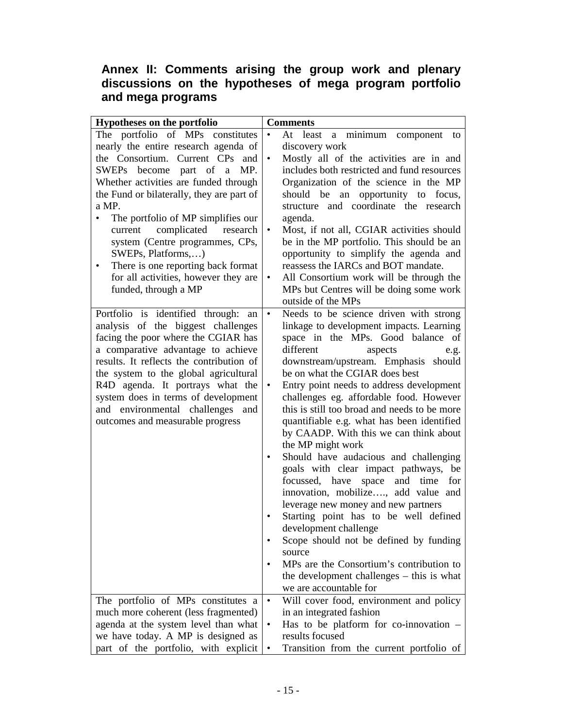# **Annex II: Comments arising the group work and plenary discussions on the hypotheses of mega program portfolio and mega programs**

| Hypotheses on the portfolio                     | <b>Comments</b>                                               |  |  |
|-------------------------------------------------|---------------------------------------------------------------|--|--|
| The portfolio of MPs constitutes                | At least<br>a minimum component to                            |  |  |
| nearly the entire research agenda of            | discovery work                                                |  |  |
| the Consortium. Current CPs and                 | Mostly all of the activities are in and<br>$\bullet$          |  |  |
| SWEPs become part of a MP.                      | includes both restricted and fund resources                   |  |  |
| Whether activities are funded through           | Organization of the science in the MP                         |  |  |
| the Fund or bilaterally, they are part of       | should be<br>opportunity to focus,<br>an                      |  |  |
| a MP.                                           | structure and coordinate the research                         |  |  |
| The portfolio of MP simplifies our              | agenda.                                                       |  |  |
| current complicated research                    | Most, if not all, CGIAR activities should                     |  |  |
| system (Centre programmes, CPs,                 | be in the MP portfolio. This should be an                     |  |  |
| SWEPs, Platforms,)                              | opportunity to simplify the agenda and                        |  |  |
| There is one reporting back format<br>$\bullet$ | reassess the IARCs and BOT mandate.                           |  |  |
| for all activities, however they are            | All Consortium work will be through the<br>٠                  |  |  |
| funded, through a MP                            | MPs but Centres will be doing some work<br>outside of the MPs |  |  |
| Portfolio is identified through:<br>an          | Needs to be science driven with strong<br>$\bullet$           |  |  |
| analysis of the biggest challenges              | linkage to development impacts. Learning                      |  |  |
| facing the poor where the CGIAR has             | space in the MPs. Good balance of                             |  |  |
| a comparative advantage to achieve              | different<br>aspects<br>e.g.                                  |  |  |
| results. It reflects the contribution of        | downstream/upstream. Emphasis should                          |  |  |
| the system to the global agricultural           | be on what the CGIAR does best                                |  |  |
| R4D agenda. It portrays what the                | Entry point needs to address development                      |  |  |
| system does in terms of development             | challenges eg. affordable food. However                       |  |  |
| and environmental challenges and                | this is still too broad and needs to be more                  |  |  |
| outcomes and measurable progress                | quantifiable e.g. what has been identified                    |  |  |
|                                                 | by CAADP. With this we can think about<br>the MP might work   |  |  |
|                                                 | Should have audacious and challenging                         |  |  |
|                                                 | goals with clear impact pathways, be                          |  |  |
|                                                 | focussed, have<br>space<br>and time<br>for                    |  |  |
|                                                 | innovation, mobilize, add value and                           |  |  |
|                                                 | leverage new money and new partners                           |  |  |
|                                                 | Starting point has to be well defined                         |  |  |
|                                                 | development challenge                                         |  |  |
|                                                 | Scope should not be defined by funding<br>٠                   |  |  |
|                                                 | source<br>MPs are the Consortium's contribution to<br>٠       |  |  |
|                                                 | the development challenges – this is what                     |  |  |
|                                                 | we are accountable for                                        |  |  |
| The portfolio of MPs constitutes a              | Will cover food, environment and policy<br>$\bullet$          |  |  |
| much more coherent (less fragmented)            | in an integrated fashion                                      |  |  |
| agenda at the system level than what            | Has to be platform for co-innovation -<br>٠                   |  |  |
| we have today. A MP is designed as              | results focused                                               |  |  |
| part of the portfolio, with explicit            | Transition from the current portfolio of                      |  |  |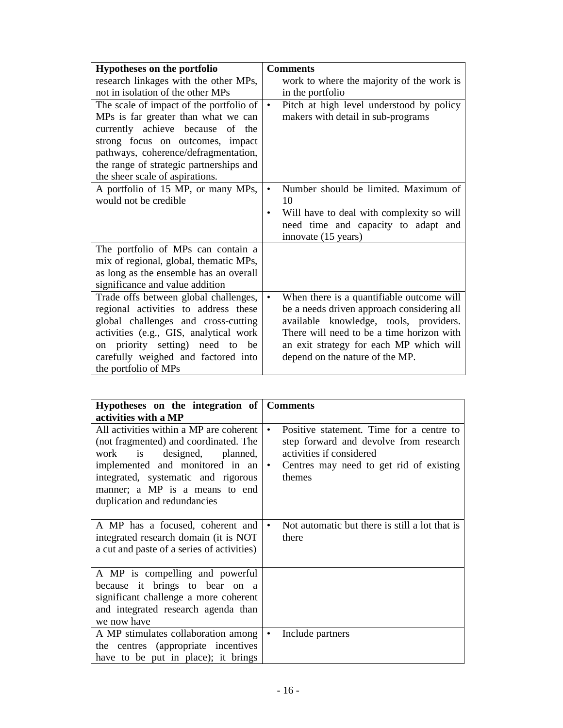| Hypotheses on the portfolio             | <b>Comments</b>                                        |
|-----------------------------------------|--------------------------------------------------------|
| research linkages with the other MPs,   | work to where the majority of the work is              |
| not in isolation of the other MPs       | in the portfolio                                       |
| The scale of impact of the portfolio of | Pitch at high level understood by policy<br>$\bullet$  |
| MPs is far greater than what we can     | makers with detail in sub-programs                     |
| currently achieve because of the        |                                                        |
| strong focus on outcomes, impact        |                                                        |
| pathways, coherence/defragmentation,    |                                                        |
| the range of strategic partnerships and |                                                        |
| the sheer scale of aspirations.         |                                                        |
| A portfolio of 15 MP, or many MPs,      | Number should be limited. Maximum of<br>$\bullet$      |
| would not be credible                   | 10                                                     |
|                                         | Will have to deal with complexity so will<br>$\bullet$ |
|                                         | need time and capacity to adapt and                    |
|                                         | innovate (15 years)                                    |
| The portfolio of MPs can contain a      |                                                        |
| mix of regional, global, thematic MPs,  |                                                        |
| as long as the ensemble has an overall  |                                                        |
| significance and value addition         |                                                        |
| Trade offs between global challenges,   | When there is a quantifiable outcome will<br>$\bullet$ |
| regional activities to address these    | be a needs driven approach considering all             |
| global challenges and cross-cutting     | available knowledge, tools, providers.                 |
| activities (e.g., GIS, analytical work  | There will need to be a time horizon with              |
| on priority setting) need to be         | an exit strategy for each MP which will                |
| carefully weighed and factored into     | depend on the nature of the MP.                        |
| the portfolio of MPs                    |                                                        |

| Hypotheses on the integration of Comments                                                                                                                                                                                                                     |                                                                                                                                                                                               |
|---------------------------------------------------------------------------------------------------------------------------------------------------------------------------------------------------------------------------------------------------------------|-----------------------------------------------------------------------------------------------------------------------------------------------------------------------------------------------|
| activities with a MP                                                                                                                                                                                                                                          |                                                                                                                                                                                               |
| All activities within a MP are coherent<br>(not fragmented) and coordinated. The<br>work is designed,<br>planned,<br>implemented and monitored in an<br>integrated, systematic and rigorous<br>manner; a MP is a means to end<br>duplication and redundancies | Positive statement. Time for a centre to<br>$\bullet$<br>step forward and devolve from research<br>activities if considered<br>Centres may need to get rid of existing<br>$\bullet$<br>themes |
| A MP has a focused, coherent and<br>integrated research domain (it is NOT<br>a cut and paste of a series of activities)                                                                                                                                       | Not automatic but there is still a lot that is<br>$\bullet$<br>there                                                                                                                          |
| A MP is compelling and powerful<br>because it brings to bear on a<br>significant challenge a more coherent<br>and integrated research agenda than<br>we now have                                                                                              |                                                                                                                                                                                               |
| A MP stimulates collaboration among<br>the centres (appropriate incentives)<br>have to be put in place); it brings                                                                                                                                            | Include partners<br>$\bullet$                                                                                                                                                                 |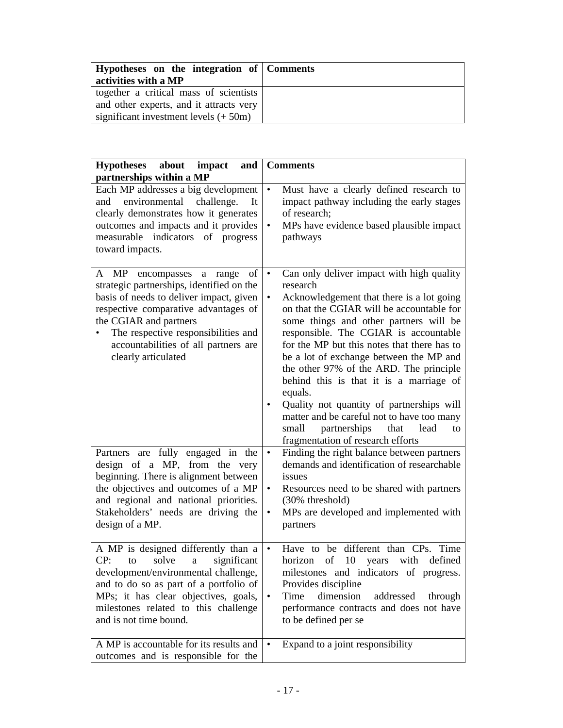| Hypotheses on the integration of Comments<br>activities with a MP                                                            |  |
|------------------------------------------------------------------------------------------------------------------------------|--|
| together a critical mass of scientists<br>and other experts, and it attracts very<br>significant investment levels $(+ 50m)$ |  |

| <b>Hypotheses</b><br>about<br>impact<br>and<br>partnerships within a MP                                                                                                                                                                                                                        | <b>Comments</b>                                                                                                                                                                                                                                                                                                                                                                                                                                                                                                                                                                                                                        |  |  |  |
|------------------------------------------------------------------------------------------------------------------------------------------------------------------------------------------------------------------------------------------------------------------------------------------------|----------------------------------------------------------------------------------------------------------------------------------------------------------------------------------------------------------------------------------------------------------------------------------------------------------------------------------------------------------------------------------------------------------------------------------------------------------------------------------------------------------------------------------------------------------------------------------------------------------------------------------------|--|--|--|
| Each MP addresses a big development<br>environmental<br>challenge.<br>and<br>It<br>clearly demonstrates how it generates<br>outcomes and impacts and it provides<br>measurable indicators of progress<br>toward impacts.                                                                       | Must have a clearly defined research to<br>$\bullet$<br>impact pathway including the early stages<br>of research;<br>MPs have evidence based plausible impact<br>$\bullet$<br>pathways                                                                                                                                                                                                                                                                                                                                                                                                                                                 |  |  |  |
| of<br>A MP encompasses a range<br>strategic partnerships, identified on the<br>basis of needs to deliver impact, given<br>respective comparative advantages of<br>the CGIAR and partners<br>The respective responsibilities and<br>accountabilities of all partners are<br>clearly articulated | Can only deliver impact with high quality<br>$\bullet$<br>research<br>Acknowledgement that there is a lot going<br>$\bullet$<br>on that the CGIAR will be accountable for<br>some things and other partners will be<br>responsible. The CGIAR is accountable<br>for the MP but this notes that there has to<br>be a lot of exchange between the MP and<br>the other 97% of the ARD. The principle<br>behind this is that it is a marriage of<br>equals.<br>Quality not quantity of partnerships will<br>matter and be careful not to have too many<br>partnerships<br>lead<br>small<br>that<br>to<br>fragmentation of research efforts |  |  |  |
| Partners are fully engaged in the<br>design of a MP, from the very<br>beginning. There is alignment between<br>the objectives and outcomes of a MP<br>and regional and national priorities.<br>Stakeholders' needs are driving the<br>design of a MP.                                          | Finding the right balance between partners<br>$\bullet$<br>demands and identification of researchable<br>issues<br>Resources need to be shared with partners<br>٠<br>(30% threshold)<br>MPs are developed and implemented with<br>$\bullet$<br>partners                                                                                                                                                                                                                                                                                                                                                                                |  |  |  |
| A MP is designed differently than a<br>CP:<br>solve<br>significant<br>to<br>$\mathbf{a}$<br>development/environmental challenge,<br>and to do so as part of a portfolio of<br>MPs; it has clear objectives, goals,<br>milestones related to this challenge<br>and is not time bound.           | Have to be different than CPs. Time<br>$\bullet$<br>of<br>10<br>with<br>defined<br>horizon<br>years<br>milestones and indicators of progress.<br>Provides discipline<br>dimension<br>Time<br>addressed<br>through<br>٠<br>performance contracts and does not have<br>to be defined per se                                                                                                                                                                                                                                                                                                                                              |  |  |  |
| A MP is accountable for its results and<br>outcomes and is responsible for the                                                                                                                                                                                                                 | Expand to a joint responsibility<br>$\bullet$                                                                                                                                                                                                                                                                                                                                                                                                                                                                                                                                                                                          |  |  |  |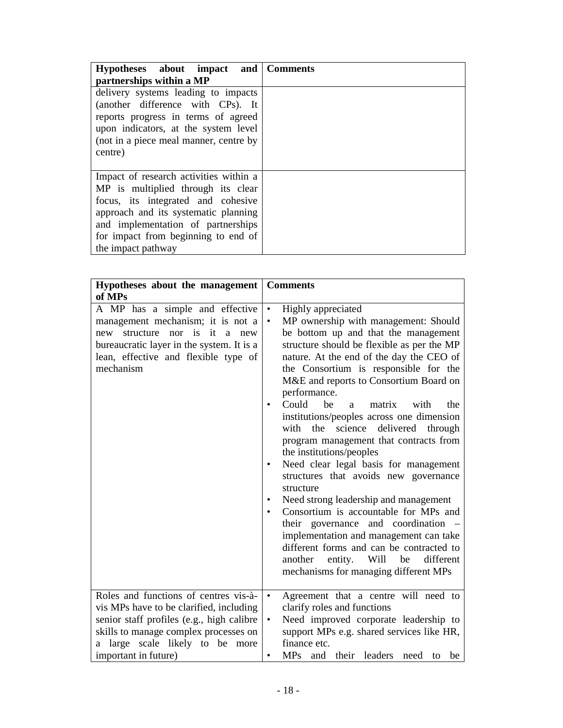| Hypotheses about impact and Comments<br>partnerships within a MP                                                                                                                                                                                              |  |
|---------------------------------------------------------------------------------------------------------------------------------------------------------------------------------------------------------------------------------------------------------------|--|
| delivery systems leading to impacts<br>(another difference with CPs). It<br>reports progress in terms of agreed<br>upon indicators, at the system level<br>(not in a piece meal manner, centre by<br>centre)                                                  |  |
| Impact of research activities within a<br>MP is multiplied through its clear<br>focus, its integrated and cohesive<br>approach and its systematic planning<br>and implementation of partnerships<br>for impact from beginning to end of<br>the impact pathway |  |

| Hypotheses about the management                                                                                                                                                                               | <b>Comments</b>                                                                                                                                                                                                                                                                                                                                                                                                                                                                                                                                                                                                                                                                                                                                                                                                                                                                                                                                                                                |  |  |  |
|---------------------------------------------------------------------------------------------------------------------------------------------------------------------------------------------------------------|------------------------------------------------------------------------------------------------------------------------------------------------------------------------------------------------------------------------------------------------------------------------------------------------------------------------------------------------------------------------------------------------------------------------------------------------------------------------------------------------------------------------------------------------------------------------------------------------------------------------------------------------------------------------------------------------------------------------------------------------------------------------------------------------------------------------------------------------------------------------------------------------------------------------------------------------------------------------------------------------|--|--|--|
| of MPs                                                                                                                                                                                                        |                                                                                                                                                                                                                                                                                                                                                                                                                                                                                                                                                                                                                                                                                                                                                                                                                                                                                                                                                                                                |  |  |  |
| A MP has a simple and effective<br>management mechanism; it is not a<br>structure<br>new<br>nor is it a new<br>bureaucratic layer in the system. It is a<br>lean, effective and flexible type of<br>mechanism | Highly appreciated<br>$\bullet$<br>MP ownership with management: Should<br>$\bullet$<br>be bottom up and that the management<br>structure should be flexible as per the MP<br>nature. At the end of the day the CEO of<br>the Consortium is responsible for the<br>M&E and reports to Consortium Board on<br>performance.<br>Could<br>be<br>with<br>the<br>matrix<br>a<br>$\bullet$<br>institutions/peoples across one dimension<br>science delivered through<br>with<br>the<br>program management that contracts from<br>the institutions/peoples<br>Need clear legal basis for management<br>$\bullet$<br>structures that avoids new governance<br>structure<br>Need strong leadership and management<br>$\bullet$<br>Consortium is accountable for MPs and<br>$\bullet$<br>their governance and coordination –<br>implementation and management can take<br>different forms and can be contracted to<br>be<br>entity. Will<br>different<br>another<br>mechanisms for managing different MPs |  |  |  |
| Roles and functions of centres vis-à-<br>vis MPs have to be clarified, including<br>senior staff profiles (e.g., high calibre<br>skills to manage complex processes on<br>a large scale likely to be more     | Agreement that a centre will need to<br>$\bullet$<br>clarify roles and functions<br>Need improved corporate leadership to<br>$\bullet$<br>support MPs e.g. shared services like HR,<br>finance etc.                                                                                                                                                                                                                                                                                                                                                                                                                                                                                                                                                                                                                                                                                                                                                                                            |  |  |  |
| important in future)                                                                                                                                                                                          | MPs and their leaders<br>be<br>need to<br>$\bullet$                                                                                                                                                                                                                                                                                                                                                                                                                                                                                                                                                                                                                                                                                                                                                                                                                                                                                                                                            |  |  |  |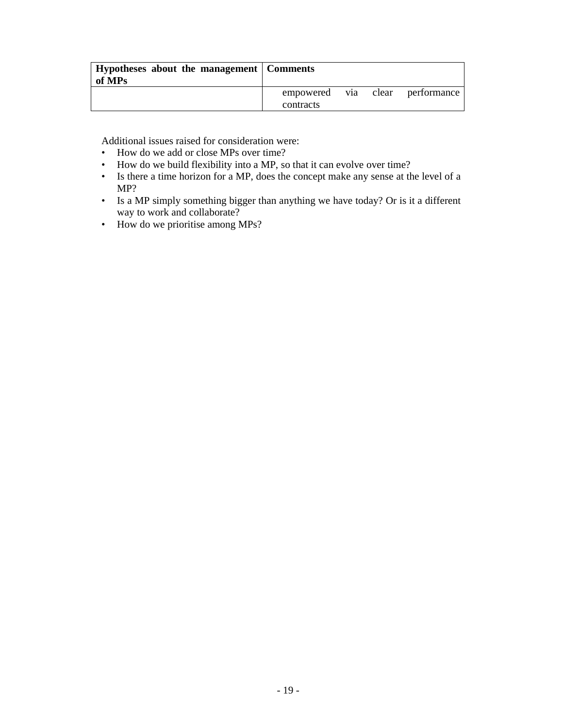| Hypotheses about the management   Comments<br>of MPs |           |  |                                 |
|------------------------------------------------------|-----------|--|---------------------------------|
|                                                      | contracts |  | empowered via clear performance |

Additional issues raised for consideration were:

- How do we add or close MPs over time?
- How do we build flexibility into a MP, so that it can evolve over time?
- Is there a time horizon for a MP, does the concept make any sense at the level of a MP?
- Is a MP simply something bigger than anything we have today? Or is it a different way to work and collaborate?
- How do we prioritise among MPs?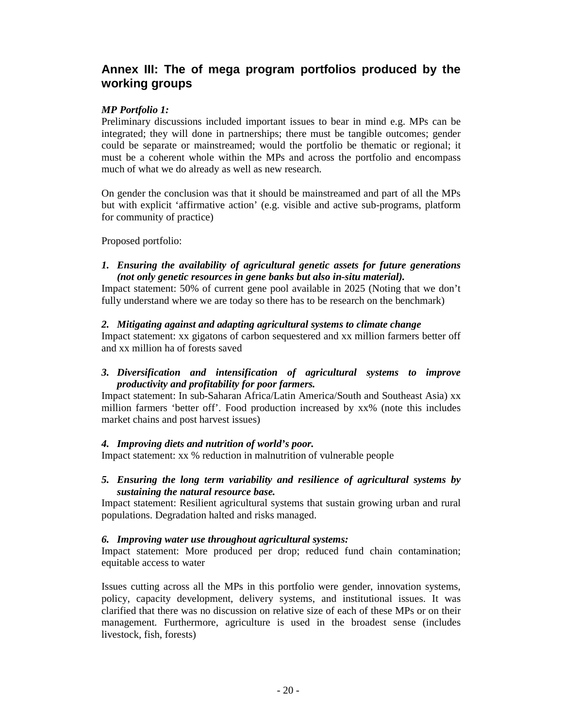# **Annex III: The of mega program portfolios produced by the working groups**

### *MP Portfolio 1:*

Preliminary discussions included important issues to bear in mind e.g. MPs can be integrated; they will done in partnerships; there must be tangible outcomes; gender could be separate or mainstreamed; would the portfolio be thematic or regional; it must be a coherent whole within the MPs and across the portfolio and encompass much of what we do already as well as new research.

On gender the conclusion was that it should be mainstreamed and part of all the MPs but with explicit 'affirmative action' (e.g. visible and active sub-programs, platform for community of practice)

Proposed portfolio:

### *1. Ensuring the availability of agricultural genetic assets for future generations (not only genetic resources in gene banks but also in-situ material).*

Impact statement: 50% of current gene pool available in 2025 (Noting that we don't fully understand where we are today so there has to be research on the benchmark)

### *2. Mitigating against and adapting agricultural systems to climate change*

Impact statement: xx gigatons of carbon sequestered and xx million farmers better off and xx million ha of forests saved

## *3. Diversification and intensification of agricultural systems to improve productivity and profitability for poor farmers.*

Impact statement: In sub-Saharan Africa/Latin America/South and Southeast Asia) xx million farmers 'better off'. Food production increased by xx% (note this includes market chains and post harvest issues)

#### *4. Improving diets and nutrition of world's poor.*

Impact statement: xx % reduction in malnutrition of vulnerable people

### *5. Ensuring the long term variability and resilience of agricultural systems by sustaining the natural resource base.*

Impact statement: Resilient agricultural systems that sustain growing urban and rural populations. Degradation halted and risks managed.

#### *6. Improving water use throughout agricultural systems:*

Impact statement: More produced per drop; reduced fund chain contamination; equitable access to water

Issues cutting across all the MPs in this portfolio were gender, innovation systems, policy, capacity development, delivery systems, and institutional issues. It was clarified that there was no discussion on relative size of each of these MPs or on their management. Furthermore, agriculture is used in the broadest sense (includes livestock, fish, forests)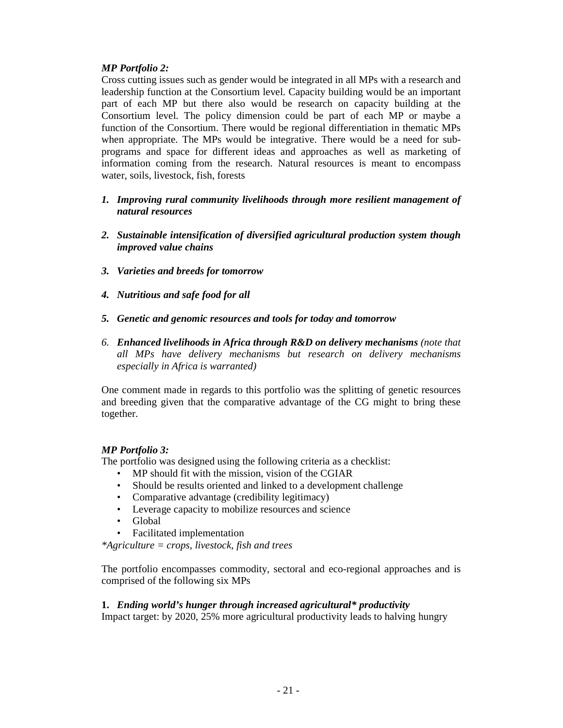## *MP Portfolio 2:*

Cross cutting issues such as gender would be integrated in all MPs with a research and leadership function at the Consortium level. Capacity building would be an important part of each MP but there also would be research on capacity building at the Consortium level. The policy dimension could be part of each MP or maybe a function of the Consortium. There would be regional differentiation in thematic MPs when appropriate. The MPs would be integrative. There would be a need for subprograms and space for different ideas and approaches as well as marketing of information coming from the research. Natural resources is meant to encompass water, soils, livestock, fish, forests

- *1. Improving rural community livelihoods through more resilient management of natural resources*
- *2. Sustainable intensification of diversified agricultural production system though improved value chains*
- *3. Varieties and breeds for tomorrow*
- *4. Nutritious and safe food for all*
- *5. Genetic and genomic resources and tools for today and tomorrow*
- *6. Enhanced livelihoods in Africa through R&D on delivery mechanisms (note that all MPs have delivery mechanisms but research on delivery mechanisms especially in Africa is warranted)*

One comment made in regards to this portfolio was the splitting of genetic resources and breeding given that the comparative advantage of the CG might to bring these together.

## *MP Portfolio 3:*

The portfolio was designed using the following criteria as a checklist:

- MP should fit with the mission, vision of the CGIAR
- Should be results oriented and linked to a development challenge
- Comparative advantage (credibility legitimacy)
- Leverage capacity to mobilize resources and science
- Global
- Facilitated implementation

*\*Agriculture = crops, livestock, fish and trees* 

The portfolio encompasses commodity, sectoral and eco-regional approaches and is comprised of the following six MPs

## **1.** *Ending world's hunger through increased agricultural\* productivity*

Impact target: by 2020, 25% more agricultural productivity leads to halving hungry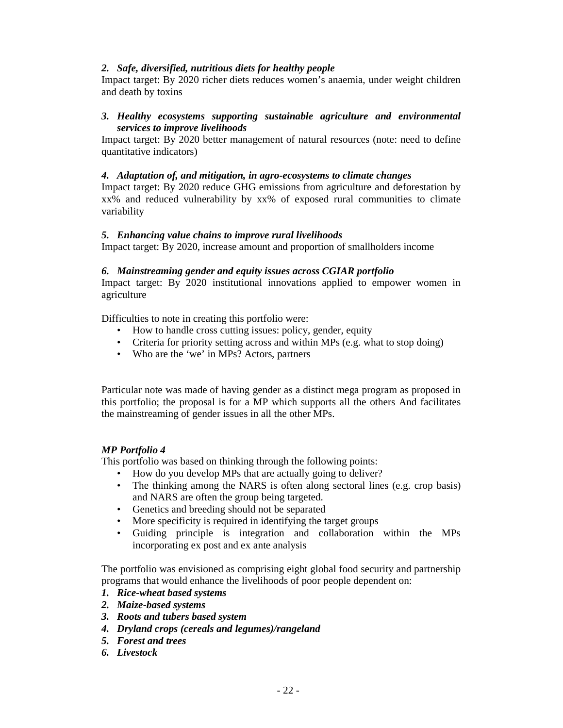### *2. Safe, diversified, nutritious diets for healthy people*

Impact target: By 2020 richer diets reduces women's anaemia, under weight children and death by toxins

### *3. Healthy ecosystems supporting sustainable agriculture and environmental services to improve livelihoods*

Impact target: By 2020 better management of natural resources (note: need to define quantitative indicators)

#### *4. Adaptation of, and mitigation, in agro-ecosystems to climate changes*

Impact target: By 2020 reduce GHG emissions from agriculture and deforestation by xx% and reduced vulnerability by xx% of exposed rural communities to climate variability

#### *5. Enhancing value chains to improve rural livelihoods*

Impact target: By 2020, increase amount and proportion of smallholders income

#### *6. Mainstreaming gender and equity issues across CGIAR portfolio*

Impact target: By 2020 institutional innovations applied to empower women in agriculture

Difficulties to note in creating this portfolio were:

- How to handle cross cutting issues: policy, gender, equity
- Criteria for priority setting across and within MPs (e.g. what to stop doing)
- Who are the 'we' in MPs? Actors, partners

Particular note was made of having gender as a distinct mega program as proposed in this portfolio; the proposal is for a MP which supports all the others And facilitates the mainstreaming of gender issues in all the other MPs.

#### *MP Portfolio 4*

This portfolio was based on thinking through the following points:

- How do you develop MPs that are actually going to deliver?
- The thinking among the NARS is often along sectoral lines (e.g. crop basis) and NARS are often the group being targeted.
- Genetics and breeding should not be separated
- More specificity is required in identifying the target groups
- Guiding principle is integration and collaboration within the MPs incorporating ex post and ex ante analysis

The portfolio was envisioned as comprising eight global food security and partnership programs that would enhance the livelihoods of poor people dependent on:

- *1. Rice-wheat based systems*
- *2. Maize-based systems*
- *3. Roots and tubers based system*
- *4. Dryland crops (cereals and legumes)/rangeland*
- *5. Forest and trees*
- *6. Livestock*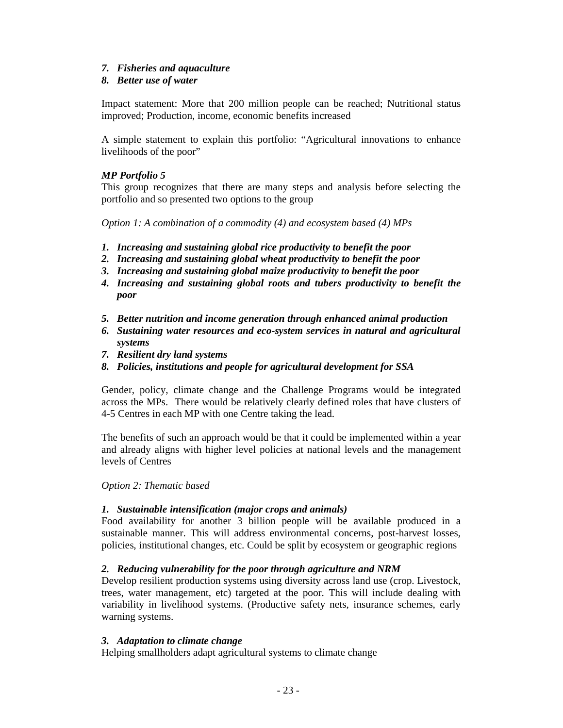### *7. Fisheries and aquaculture*

### *8. Better use of water*

Impact statement: More that 200 million people can be reached; Nutritional status improved; Production, income, economic benefits increased

A simple statement to explain this portfolio: "Agricultural innovations to enhance livelihoods of the poor"

### *MP Portfolio 5*

This group recognizes that there are many steps and analysis before selecting the portfolio and so presented two options to the group

*Option 1: A combination of a commodity (4) and ecosystem based (4) MPs* 

- *1. Increasing and sustaining global rice productivity to benefit the poor*
- *2. Increasing and sustaining global wheat productivity to benefit the poor*
- *3. Increasing and sustaining global maize productivity to benefit the poor*
- *4. Increasing and sustaining global roots and tubers productivity to benefit the poor*
- *5. Better nutrition and income generation through enhanced animal production*
- *6. Sustaining water resources and eco-system services in natural and agricultural systems*
- *7. Resilient dry land systems*
- *8. Policies, institutions and people for agricultural development for SSA*

Gender, policy, climate change and the Challenge Programs would be integrated across the MPs. There would be relatively clearly defined roles that have clusters of 4-5 Centres in each MP with one Centre taking the lead.

The benefits of such an approach would be that it could be implemented within a year and already aligns with higher level policies at national levels and the management levels of Centres

*Option 2: Thematic based* 

## *1. Sustainable intensification (major crops and animals)*

Food availability for another 3 billion people will be available produced in a sustainable manner. This will address environmental concerns, post-harvest losses, policies, institutional changes, etc. Could be split by ecosystem or geographic regions

#### *2. Reducing vulnerability for the poor through agriculture and NRM*

Develop resilient production systems using diversity across land use (crop. Livestock, trees, water management, etc) targeted at the poor. This will include dealing with variability in livelihood systems. (Productive safety nets, insurance schemes, early warning systems.

#### *3. Adaptation to climate change*

Helping smallholders adapt agricultural systems to climate change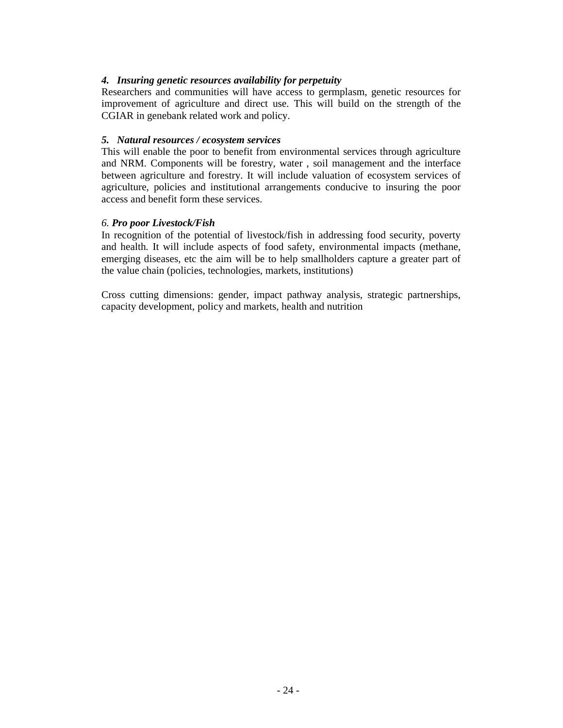### *4. Insuring genetic resources availability for perpetuity*

Researchers and communities will have access to germplasm, genetic resources for improvement of agriculture and direct use. This will build on the strength of the CGIAR in genebank related work and policy.

#### *5. Natural resources / ecosystem services*

This will enable the poor to benefit from environmental services through agriculture and NRM. Components will be forestry, water , soil management and the interface between agriculture and forestry. It will include valuation of ecosystem services of agriculture, policies and institutional arrangements conducive to insuring the poor access and benefit form these services.

#### *6. Pro poor Livestock/Fish*

In recognition of the potential of livestock/fish in addressing food security, poverty and health. It will include aspects of food safety, environmental impacts (methane, emerging diseases, etc the aim will be to help smallholders capture a greater part of the value chain (policies, technologies, markets, institutions)

Cross cutting dimensions: gender, impact pathway analysis, strategic partnerships, capacity development, policy and markets, health and nutrition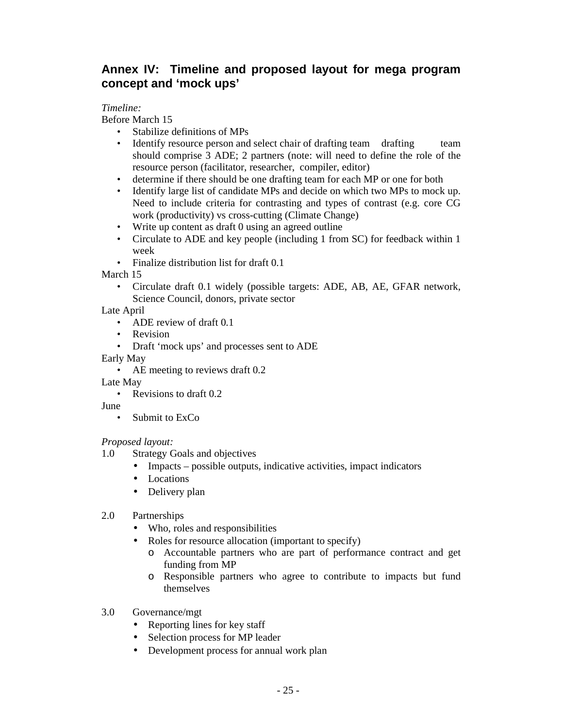# **Annex IV: Timeline and proposed layout for mega program concept and 'mock ups'**

## *Timeline:*

Before March 15

- Stabilize definitions of MPs
- Identify resource person and select chair of drafting team drafting team should comprise 3 ADE; 2 partners (note: will need to define the role of the resource person (facilitator, researcher, compiler, editor)
- determine if there should be one drafting team for each MP or one for both
- Identify large list of candidate MPs and decide on which two MPs to mock up. Need to include criteria for contrasting and types of contrast (e.g. core CG work (productivity) vs cross-cutting (Climate Change)
- Write up content as draft 0 using an agreed outline
- Circulate to ADE and key people (including 1 from SC) for feedback within 1 week
- Finalize distribution list for draft 0.1

March 15

• Circulate draft 0.1 widely (possible targets: ADE, AB, AE, GFAR network, Science Council, donors, private sector

Late April

- ADE review of draft 0.1
- Revision
- Draft 'mock ups' and processes sent to ADE
- Early May
	- AE meeting to reviews draft 0.2

Late May

- Revisions to draft 0.2
- June
	- Submit to ExCo

## *Proposed layout:*

- 1.0 Strategy Goals and objectives
	- Impacts possible outputs, indicative activities, impact indicators
	- Locations
	- Delivery plan
- 2.0 Partnerships
	- Who, roles and responsibilities
	- Roles for resource allocation (important to specify)
		- o Accountable partners who are part of performance contract and get funding from MP
		- o Responsible partners who agree to contribute to impacts but fund themselves
- 3.0 Governance/mgt
	- Reporting lines for key staff
	- Selection process for MP leader
	- Development process for annual work plan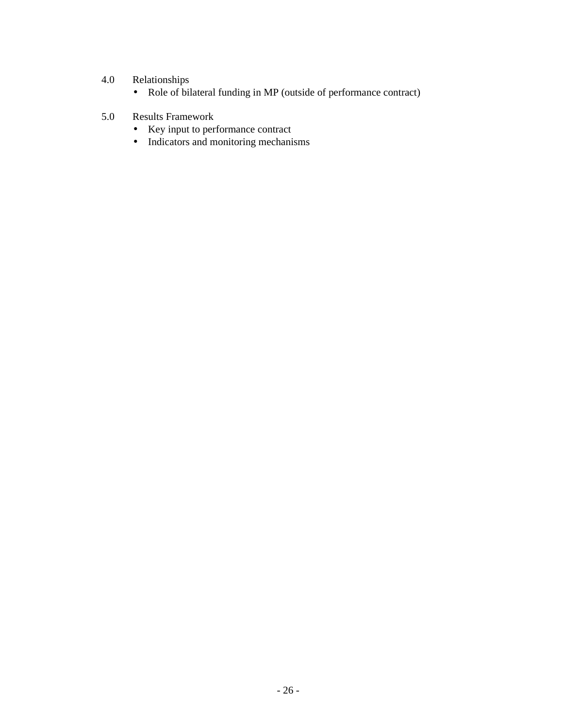# 4.0 Relationships

- Role of bilateral funding in MP (outside of performance contract)
- 5.0 Results Framework
	- Key input to performance contract
	- Indicators and monitoring mechanisms